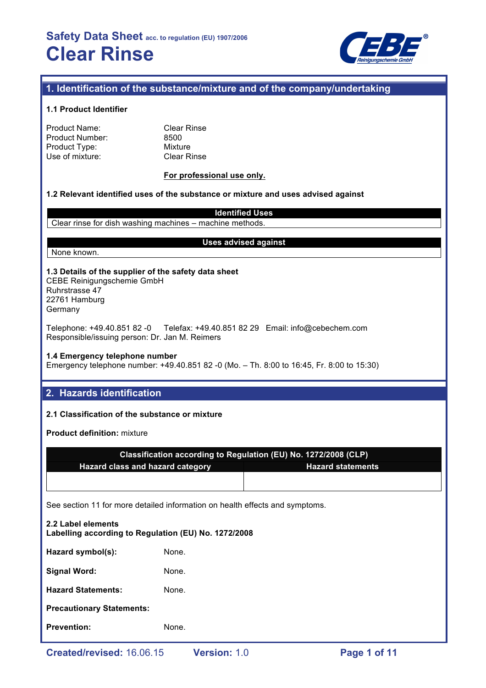

## **1. Identification of the substance/mixture and of the company/undertaking**

#### **1.1 Product Identifier**

| Product Name:   |  |
|-----------------|--|
| Product Number: |  |
| Product Type:   |  |
| Use of mixture: |  |

**Clear Rinse** 8500 **Mixture Clear Rinse** 

#### **For professional use only.**

### **1.2 Relevant identified uses of the substance or mixture and uses advised against**

**Identified Uses** Clear rinse for dish washing machines – machine methods.

#### **Uses advised against**

## None known.

**1.3 Details of the supplier of the safety data sheet** CEBE Reinigungschemie GmbH Ruhrstrasse 47 22761 Hamburg Germany

Telephone: +49.40.851 82 -0 Telefax: +49.40.851 82 29 Email: info@cebechem.com Responsible/issuing person: Dr. Jan M. Reimers

#### **1.4 Emergency telephone number**

Emergency telephone number: +49.40.851 82 -0 (Mo. – Th. 8:00 to 16:45, Fr. 8:00 to 15:30)

## **2. Hazards identification**

## **2.1 Classification of the substance or mixture**

**Product definition:** mixture

| Classification according to Regulation (EU) No. 1272/2008 (CLP) |                          |  |  |
|-----------------------------------------------------------------|--------------------------|--|--|
| <b>Hazard class and hazard category</b>                         | <b>Hazard statements</b> |  |  |
|                                                                 |                          |  |  |

See section 11 for more detailed information on health effects and symptoms.

| 2.2 Label elements<br>Labelling according to Regulation (EU) No. 1272/2008 |       |  |  |  |
|----------------------------------------------------------------------------|-------|--|--|--|
| Hazard symbol(s):                                                          | None. |  |  |  |
| <b>Signal Word:</b>                                                        | None. |  |  |  |
| <b>Hazard Statements:</b>                                                  | None. |  |  |  |
| <b>Precautionary Statements:</b>                                           |       |  |  |  |
| <b>Prevention:</b>                                                         | None. |  |  |  |
|                                                                            |       |  |  |  |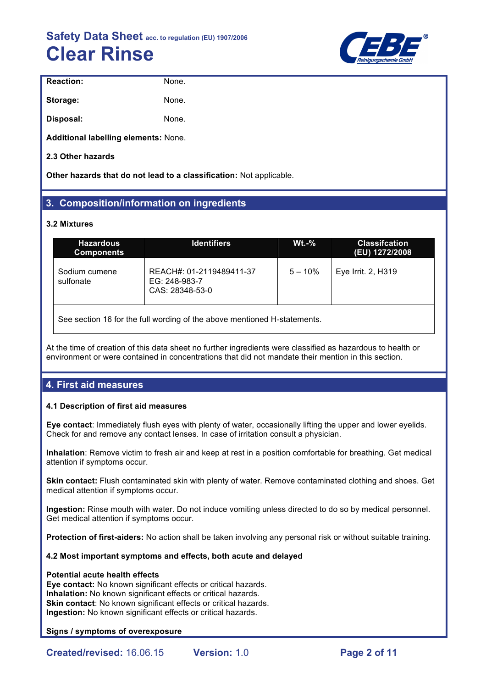

| <b>Reaction:</b>                     | None. |
|--------------------------------------|-------|
| Storage:                             | None. |
| Disposal:                            | None. |
| Additional labelling elements: None. |       |

**2.3 Other hazards**

**Other hazards that do not lead to a classification:** Not applicable.

## **3. Composition/information on ingredients**

## **3.2 Mixtures**

| <b>Hazardous</b><br><b>Components</b> | <b>Identifiers</b>                                           | $Wt.-\%$  | <b>Classifcation</b><br>(EU) 1272/2008 |
|---------------------------------------|--------------------------------------------------------------|-----------|----------------------------------------|
| Sodium cumene<br>sulfonate            | REACH#: 01-2119489411-37<br>EG: 248-983-7<br>CAS: 28348-53-0 | $5 - 10%$ | Eye Irrit. 2, H319                     |
|                                       |                                                              |           |                                        |

See section 16 for the full wording of the above mentioned H-statements.

At the time of creation of this data sheet no further ingredients were classified as hazardous to health or environment or were contained in concentrations that did not mandate their mention in this section.

## **4. First aid measures**

## **4.1 Description of first aid measures**

**Eye contact**: Immediately flush eyes with plenty of water, occasionally lifting the upper and lower eyelids. Check for and remove any contact lenses. In case of irritation consult a physician.

**Inhalation**: Remove victim to fresh air and keep at rest in a position comfortable for breathing. Get medical attention if symptoms occur.

**Skin contact:** Flush contaminated skin with plenty of water. Remove contaminated clothing and shoes. Get medical attention if symptoms occur.

**Ingestion:** Rinse mouth with water. Do not induce vomiting unless directed to do so by medical personnel. Get medical attention if symptoms occur.

**Protection of first-aiders:** No action shall be taken involving any personal risk or without suitable training.

## **4.2 Most important symptoms and effects, both acute and delayed**

## **Potential acute health effects**

**Eye contact:** No known significant effects or critical hazards. **Inhalation:** No known significant effects or critical hazards. **Skin contact:** No known significant effects or critical hazards. **Ingestion:** No known significant effects or critical hazards.

## **Signs / symptoms of overexposure**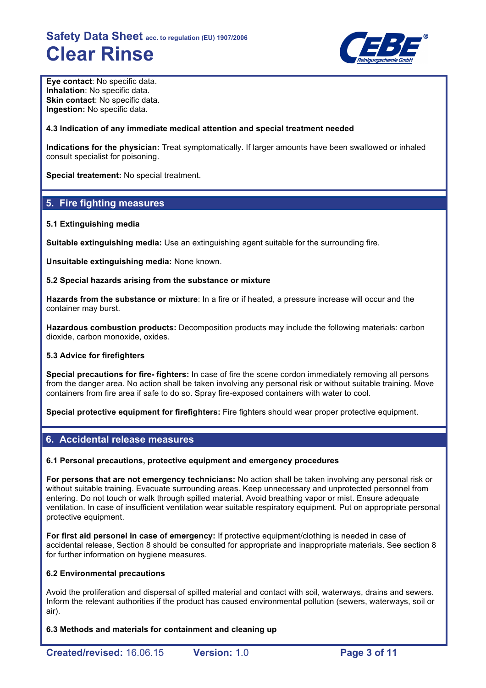

**Eye contact**: No specific data. **Inhalation**: No specific data. **Skin contact:** No specific data. **Ingestion:** No specific data.

### **4.3 Indication of any immediate medical attention and special treatment needed**

**Indications for the physician:** Treat symptomatically. If larger amounts have been swallowed or inhaled consult specialist for poisoning.

**Special treatement:** No special treatment.

## **5. Fire fighting measures**

#### **5.1 Extinguishing media**

**Suitable extinguishing media:** Use an extinguishing agent suitable for the surrounding fire.

**Unsuitable extinguishing media:** None known.

#### **5.2 Special hazards arising from the substance or mixture**

**Hazards from the substance or mixture**: In a fire or if heated, a pressure increase will occur and the container may burst.

**Hazardous combustion products:** Decomposition products may include the following materials: carbon dioxide, carbon monoxide, oxides.

#### **5.3 Advice for firefighters**

**Special precautions for fire- fighters:** In case of fire the scene cordon immediately removing all persons from the danger area. No action shall be taken involving any personal risk or without suitable training. Move containers from fire area if safe to do so. Spray fire-exposed containers with water to cool.

**Special protective equipment for firefighters:** Fire fighters should wear proper protective equipment.

## **6. Accidental release measures**

## **6.1 Personal precautions, protective equipment and emergency procedures**

**For persons that are not emergency technicians:** No action shall be taken involving any personal risk or without suitable training. Evacuate surrounding areas. Keep unnecessary and unprotected personnel from entering. Do not touch or walk through spilled material. Avoid breathing vapor or mist. Ensure adequate ventilation. In case of insufficient ventilation wear suitable respiratory equipment. Put on appropriate personal protective equipment.

**For first aid personel in case of emergency:** If protective equipment/clothing is needed in case of accidental release, Section 8 should be consulted for appropriate and inappropriate materials. See section 8 for further information on hygiene measures.

## **6.2 Environmental precautions**

Avoid the proliferation and dispersal of spilled material and contact with soil, waterways, drains and sewers. Inform the relevant authorities if the product has caused environmental pollution (sewers, waterways, soil or air).

**6.3 Methods and materials for containment and cleaning up**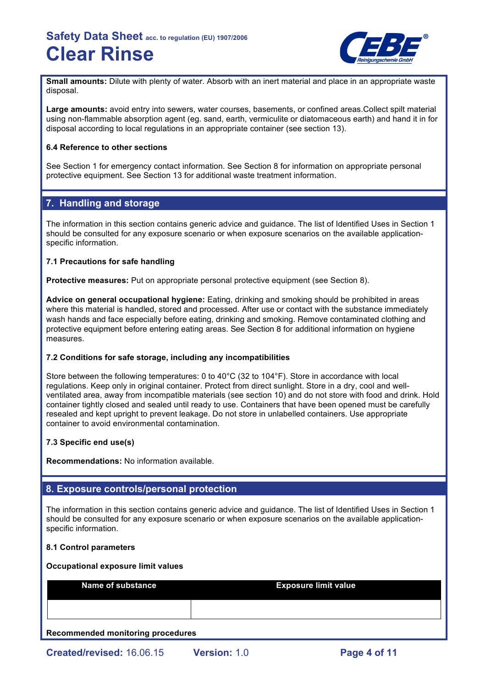

**Small amounts:** Dilute with plenty of water. Absorb with an inert material and place in an appropriate waste disposal.

**Large amounts:** avoid entry into sewers, water courses, basements, or confined areas.Collect spilt material using non-flammable absorption agent (eg. sand, earth, vermiculite or diatomaceous earth) and hand it in for disposal according to local regulations in an appropriate container (see section 13).

## **6.4 Reference to other sections**

See Section 1 for emergency contact information. See Section 8 for information on appropriate personal protective equipment. See Section 13 for additional waste treatment information.

## **7. Handling and storage**

The information in this section contains generic advice and guidance. The list of Identified Uses in Section 1 should be consulted for any exposure scenario or when exposure scenarios on the available applicationspecific information.

## **7.1 Precautions for safe handling**

**Protective measures:** Put on appropriate personal protective equipment (see Section 8).

**Advice on general occupational hygiene:** Eating, drinking and smoking should be prohibited in areas where this material is handled, stored and processed. After use or contact with the substance immediately wash hands and face especially before eating, drinking and smoking. Remove contaminated clothing and protective equipment before entering eating areas. See Section 8 for additional information on hygiene measures.

## **7.2 Conditions for safe storage, including any incompatibilities**

Store between the following temperatures: 0 to 40°C (32 to 104°F). Store in accordance with local regulations. Keep only in original container. Protect from direct sunlight. Store in a dry, cool and wellventilated area, away from incompatible materials (see section 10) and do not store with food and drink. Hold container tightly closed and sealed until ready to use. Containers that have been opened must be carefully resealed and kept upright to prevent leakage. Do not store in unlabelled containers. Use appropriate container to avoid environmental contamination.

## **7.3 Specific end use(s)**

**Recommendations:** No information available.

## **8. Exposure controls/personal protection**

The information in this section contains generic advice and guidance. The list of Identified Uses in Section 1 should be consulted for any exposure scenario or when exposure scenarios on the available applicationspecific information.

## **8.1 Control parameters**

#### **Occupational exposure limit values**

| <b>Name of substance</b> | <b>Exposure limit value</b> |
|--------------------------|-----------------------------|
|                          |                             |

## **Recommended monitoring procedures**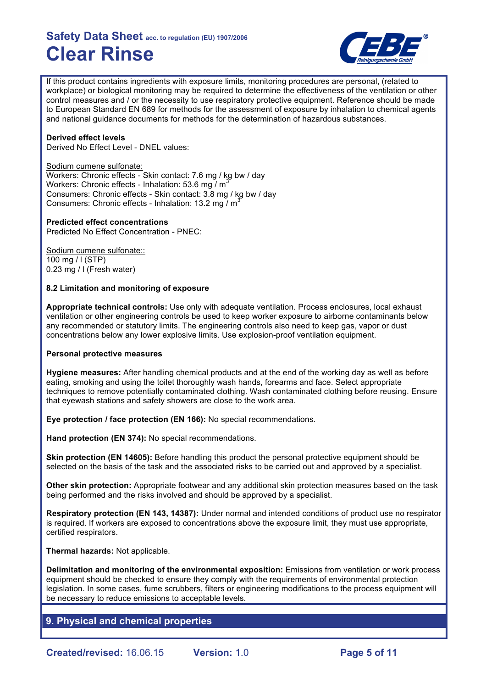

If this product contains ingredients with exposure limits, monitoring procedures are personal, (related to workplace) or biological monitoring may be required to determine the effectiveness of the ventilation or other control measures and / or the necessity to use respiratory protective equipment. Reference should be made to European Standard EN 689 for methods for the assessment of exposure by inhalation to chemical agents and national guidance documents for methods for the determination of hazardous substances.

### **Derived effect levels**

Derived No Effect Level - DNEL values:

#### Sodium cumene sulfonate:

Workers: Chronic effects - Skin contact: 7.6 mg / kg bw / day Workers: Chronic effects - Inhalation: 53.6 mg  $\overline{I}$  m<sup>3</sup> Consumers: Chronic effects - Skin contact: 3.8 mg / kg bw / day Consumers: Chronic effects - Inhalation: 13.2 mg / m<sup>3</sup>

#### **Predicted effect concentrations**

Predicted No Effect Concentration - PNEC:

Sodium cumene sulfonate:: 100 mg / l (STP) 0.23 mg / l (Fresh water)

#### **8.2 Limitation and monitoring of exposure**

**Appropriate technical controls:** Use only with adequate ventilation. Process enclosures, local exhaust ventilation or other engineering controls be used to keep worker exposure to airborne contaminants below any recommended or statutory limits. The engineering controls also need to keep gas, vapor or dust concentrations below any lower explosive limits. Use explosion-proof ventilation equipment.

#### **Personal protective measures**

**Hygiene measures:** After handling chemical products and at the end of the working day as well as before eating, smoking and using the toilet thoroughly wash hands, forearms and face. Select appropriate techniques to remove potentially contaminated clothing. Wash contaminated clothing before reusing. Ensure that eyewash stations and safety showers are close to the work area.

**Eye protection / face protection (EN 166):** No special recommendations.

**Hand protection (EN 374):** No special recommendations.

**Skin protection (EN 14605):** Before handling this product the personal protective equipment should be selected on the basis of the task and the associated risks to be carried out and approved by a specialist.

**Other skin protection:** Appropriate footwear and any additional skin protection measures based on the task being performed and the risks involved and should be approved by a specialist.

**Respiratory protection (EN 143, 14387):** Under normal and intended conditions of product use no respirator is required. If workers are exposed to concentrations above the exposure limit, they must use appropriate, certified respirators.

**Thermal hazards:** Not applicable.

**Delimitation and monitoring of the environmental exposition:** Emissions from ventilation or work process equipment should be checked to ensure they comply with the requirements of environmental protection legislation. In some cases, fume scrubbers, filters or engineering modifications to the process equipment will be necessary to reduce emissions to acceptable levels.

## **9. Physical and chemical properties**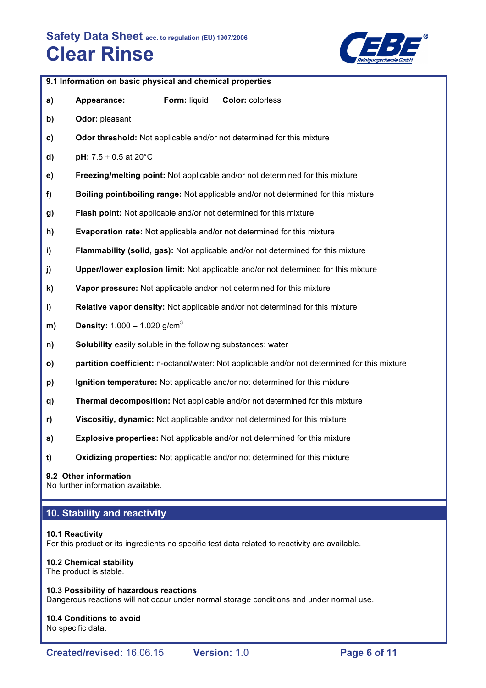

|     | 9.1 Information on basic physical and chemical properties    |              |                                                                                               |
|-----|--------------------------------------------------------------|--------------|-----------------------------------------------------------------------------------------------|
| a)  | Appearance:                                                  | Form: liquid | Color: colorless                                                                              |
| b)  | Odor: pleasant                                               |              |                                                                                               |
| c)  |                                                              |              | Odor threshold: Not applicable and/or not determined for this mixture                         |
| d)  | pH: $7.5 \pm 0.5$ at 20°C                                    |              |                                                                                               |
| e)  |                                                              |              | Freezing/melting point: Not applicable and/or not determined for this mixture                 |
| f)  |                                                              |              | Boiling point/boiling range: Not applicable and/or not determined for this mixture            |
| g)  |                                                              |              | Flash point: Not applicable and/or not determined for this mixture                            |
| h)  |                                                              |              | <b>Evaporation rate:</b> Not applicable and/or not determined for this mixture                |
| i)  |                                                              |              | Flammability (solid, gas): Not applicable and/or not determined for this mixture              |
| j)  |                                                              |              | Upper/lower explosion limit: Not applicable and/or not determined for this mixture            |
| k)  |                                                              |              | Vapor pressure: Not applicable and/or not determined for this mixture                         |
| I)  |                                                              |              | Relative vapor density: Not applicable and/or not determined for this mixture                 |
| m)  | <b>Density:</b> $1.000 - 1.020$ g/cm <sup>3</sup>            |              |                                                                                               |
| n)  | Solubility easily soluble in the following substances: water |              |                                                                                               |
| o)  |                                                              |              | partition coefficient: n-octanol/water: Not applicable and/or not determined for this mixture |
| p)  |                                                              |              | Ignition temperature: Not applicable and/or not determined for this mixture                   |
| q)  |                                                              |              | Thermal decomposition: Not applicable and/or not determined for this mixture                  |
| r)  |                                                              |              | Viscositiy, dynamic: Not applicable and/or not determined for this mixture                    |
| s)  |                                                              |              | <b>Explosive properties:</b> Not applicable and/or not determined for this mixture            |
| $1$ |                                                              |              | Oxidizing properties: Not applicable and/or not determined for this mixture                   |
|     |                                                              |              |                                                                                               |

## **9.2 Other information**

No further information available.

## **10. Stability and reactivity**

## **10.1 Reactivity**

For this product or its ingredients no specific test data related to reactivity are available.

## **10.2 Chemical stability**

The product is stable.

**10.3 Possibility of hazardous reactions** Dangerous reactions will not occur under normal storage conditions and under normal use.

#### **10.4 Conditions to avoid** No specific data.

**Created/revised:** 16.06.15 **Version:** 1.0 **Page 6 of 11**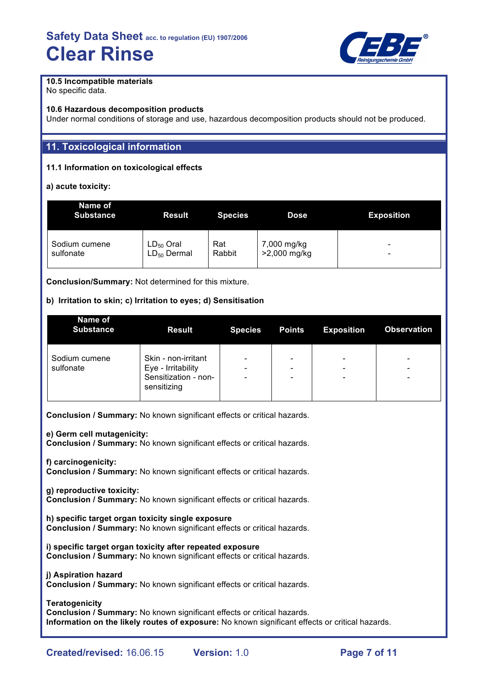

## **10.5 Incompatible materials**

No specific data.

### **10.6 Hazardous decomposition products**

Under normal conditions of storage and use, hazardous decomposition products should not be produced.

## **11. Toxicological information**

## **11.1 Information on toxicological effects**

## **a) acute toxicity:**

| Name of<br><b>Substance</b> | <b>Result</b>    | <b>Species</b> | Dose         | <b>Exposition</b> |
|-----------------------------|------------------|----------------|--------------|-------------------|
| Sodium cumene               | $LD_{50}$ Oral   | Rat            | 7,000 mg/kg  | -                 |
| sulfonate                   | $LD_{50}$ Dermal | Rabbit         | >2,000 mg/kg | -                 |

**Conclusion/Summary:** Not determined for this mixture.

## **b) Irritation to skin; c) Irritation to eyes; d) Sensitisation**

| Name of<br><b>Substance</b> | <b>Result</b>                       | <b>Species</b> | <b>Points</b>                | <b>Exposition</b>            | <b>Observation</b> |
|-----------------------------|-------------------------------------|----------------|------------------------------|------------------------------|--------------------|
| Sodium cumene               | Skin - non-irritant                 |                | $\overline{\phantom{0}}$     | $\qquad \qquad \blacksquare$ | ۰                  |
| sulfonate                   | Eye - Irritability                  |                | $\qquad \qquad \blacksquare$ | $\qquad \qquad \blacksquare$ | ۰                  |
|                             | Sensitization - non-<br>sensitizing | -              | $\qquad \qquad \blacksquare$ | $\overline{\phantom{0}}$     | ۰                  |

**Conclusion / Summary:** No known significant effects or critical hazards.

## **e) Germ cell mutagenicity:**

**Conclusion / Summary:** No known significant effects or critical hazards.

**f) carcinogenicity:**

**Conclusion / Summary:** No known significant effects or critical hazards.

## **g) reproductive toxicity:**

**Conclusion / Summary:** No known significant effects or critical hazards.

**h) specific target organ toxicity single exposure**

**Conclusion / Summary:** No known significant effects or critical hazards.

**i) specific target organ toxicity after repeated exposure Conclusion / Summary:** No known significant effects or critical hazards.

#### **j) Aspiration hazard**

**Conclusion / Summary:** No known significant effects or critical hazards.

**Teratogenicity**

**Conclusion / Summary:** No known significant effects or critical hazards. **Information on the likely routes of exposure:** No known significant effects or critical hazards.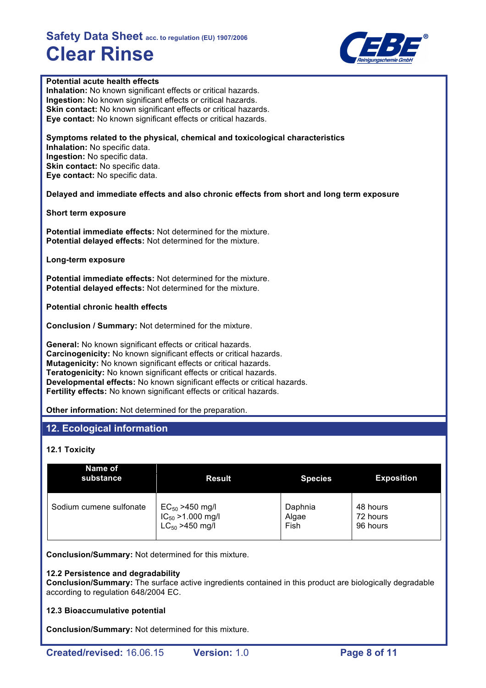

## **Potential acute health effects**

**Inhalation:** No known significant effects or critical hazards. **Ingestion:** No known significant effects or critical hazards. **Skin contact:** No known significant effects or critical hazards. **Eye contact:** No known significant effects or critical hazards.

**Symptoms related to the physical, chemical and toxicological characteristics Inhalation:** No specific data. **Ingestion:** No specific data. **Skin contact:** No specific data. **Eye contact:** No specific data.

**Delayed and immediate effects and also chronic effects from short and long term exposure**

**Short term exposure**

**Potential immediate effects:** Not determined for the mixture. **Potential delayed effects:** Not determined for the mixture.

**Long-term exposure**

**Potential immediate effects:** Not determined for the mixture. **Potential delayed effects:** Not determined for the mixture.

**Potential chronic health effects**

**Conclusion / Summary:** Not determined for the mixture.

**General:** No known significant effects or critical hazards. **Carcinogenicity:** No known significant effects or critical hazards. **Mutagenicity:** No known significant effects or critical hazards. **Teratogenicity:** No known significant effects or critical hazards. **Developmental effects:** No known significant effects or critical hazards. **Fertility effects:** No known significant effects or critical hazards.

**Other information:** Not determined for the preparation.

## **12. Ecological information**

## **12.1 Toxicity**

| Name of<br>substance    | <b>Result</b>          | <b>Species</b> | <b>Exposition</b> |
|-------------------------|------------------------|----------------|-------------------|
| Sodium cumene sulfonate | $EC_{50} > 450$ mg/l   | Daphnia        | 48 hours          |
|                         | $IC_{50} > 1.000$ mg/l | Algae          | 72 hours          |
|                         | $LC_{50} > 450$ mg/l   | Fish           | 96 hours          |

**Conclusion/Summary:** Not determined for this mixture.

#### **12.2 Persistence and degradability**

**Conclusion/Summary:** The surface active ingredients contained in this product are biologically degradable according to regulation 648/2004 EC.

#### **12.3 Bioaccumulative potential**

**Conclusion/Summary:** Not determined for this mixture.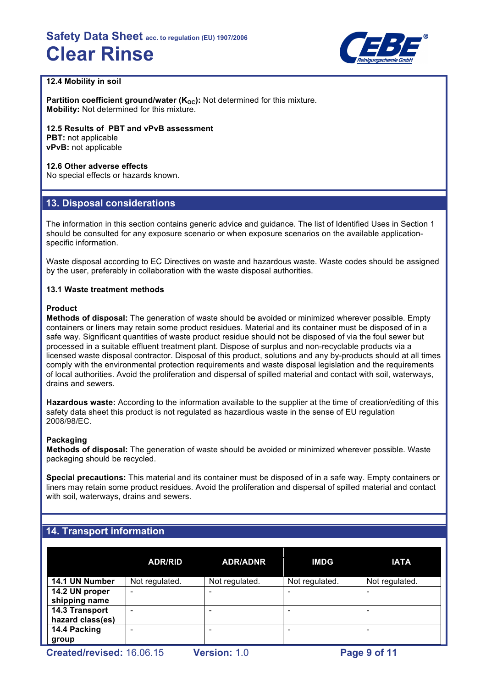

## **12.4 Mobility in soil**

**Partition coefficient ground/water (K<sub>OC</sub>):** Not determined for this mixture. **Mobility:** Not determined for this mixture.

**12.5 Results of PBT and vPvB assessment PBT:** not applicable

**vPvB:** not applicable

## **12.6 Other adverse effects**

No special effects or hazards known.

## **13. Disposal considerations**

The information in this section contains generic advice and guidance. The list of Identified Uses in Section 1 should be consulted for any exposure scenario or when exposure scenarios on the available applicationspecific information.

Waste disposal according to EC Directives on waste and hazardous waste. Waste codes should be assigned by the user, preferably in collaboration with the waste disposal authorities.

## **13.1 Waste treatment methods**

## **Product**

**Methods of disposal:** The generation of waste should be avoided or minimized wherever possible. Empty containers or liners may retain some product residues. Material and its container must be disposed of in a safe way. Significant quantities of waste product residue should not be disposed of via the foul sewer but processed in a suitable effluent treatment plant. Dispose of surplus and non-recyclable products via a licensed waste disposal contractor. Disposal of this product, solutions and any by-products should at all times comply with the environmental protection requirements and waste disposal legislation and the requirements of local authorities. Avoid the proliferation and dispersal of spilled material and contact with soil, waterways, drains and sewers.

**Hazardous waste:** According to the information available to the supplier at the time of creation/editing of this safety data sheet this product is not regulated as hazardious waste in the sense of EU regulation 2008/98/EC.

## **Packaging**

**Methods of disposal:** The generation of waste should be avoided or minimized wherever possible. Waste packaging should be recycled.

**Special precautions:** This material and its container must be disposed of in a safe way. Empty containers or liners may retain some product residues. Avoid the proliferation and dispersal of spilled material and contact with soil, waterways, drains and sewers.

## **14. Transport information**

|                  | <b>ADR/RID</b>           | <b>ADR/ADNR</b> | <b>IMDG</b>    | <b>IATA</b>    |
|------------------|--------------------------|-----------------|----------------|----------------|
| 14.1 UN Number   | Not regulated.           | Not regulated.  | Not regulated. | Not regulated. |
| 14.2 UN proper   | ۰                        |                 |                |                |
| shipping name    |                          |                 |                |                |
| 14.3 Transport   | $\overline{\phantom{0}}$ |                 |                |                |
| hazard class(es) |                          |                 |                |                |
| 14.4 Packing     |                          |                 |                |                |
| group            |                          |                 |                |                |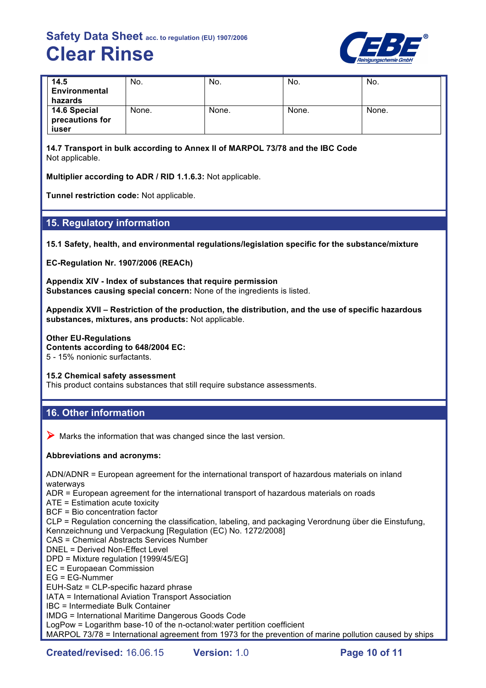

| 14.5<br>Environmental<br>hazards         | No.   | No.   | No.   | No.   |
|------------------------------------------|-------|-------|-------|-------|
| 14.6 Special<br>precautions for<br>iuser | None. | None. | None. | None. |

**14.7 Transport in bulk according to Annex II of MARPOL 73/78 and the IBC Code** Not applicable.

**Multiplier according to ADR / RID 1.1.6.3:** Not applicable.

**Tunnel restriction code:** Not applicable.

## **15. Regulatory information**

**15.1 Safety, health, and environmental regulations/legislation specific for the substance/mixture**

**EC-Regulation Nr. 1907/2006 (REACh)**

**Appendix XIV - Index of substances that require permission Substances causing special concern:** None of the ingredients is listed.

**Appendix XVII – Restriction of the production, the distribution, and the use of specific hazardous substances, mixtures, ans products:** Not applicable.

**Other EU-Regulations**

**Contents according to 648/2004 EC:**

5 - 15% nonionic surfactants.

**15.2 Chemical safety assessment**

This product contains substances that still require substance assessments.

## **16. Other information**

 $\triangleright$  Marks the information that was changed since the last version.

## **Abbreviations and acronyms:**

ADN/ADNR = European agreement for the international transport of hazardous materials on inland waterways

ADR = European agreement for the international transport of hazardous materials on roads

ATE = Estimation acute toxicity

BCF = Bio concentration factor

CLP = Regulation concerning the classification, labeling, and packaging Verordnung über die Einstufung, Kennzeichnung und Verpackung [Regulation (EC) No. 1272/2008]

- CAS = Chemical Abstracts Services Number
- DNEL = Derived Non-Effect Level

DPD = Mixture regulation [1999/45/EG]

EC = Europaean Commission

EG = EG-Nummer

EUH-Satz = CLP-specific hazard phrase

IATA = International Aviation Transport Association

IBC = Intermediate Bulk Container

IMDG = International Maritime Dangerous Goods Code

LogPow = Logarithm base-10 of the n-octanol:water pertition coefficient

MARPOL 73/78 = International agreement from 1973 for the prevention of marine pollution caused by ships